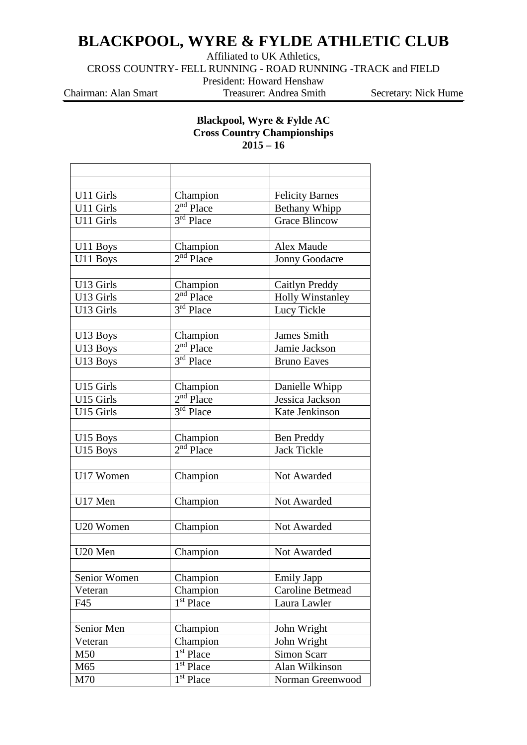## **BLACKPOOL, WYRE & FYLDE ATHLETIC CLUB**

Affiliated to UK Athletics,

CROSS COUNTRY- FELL RUNNING - ROAD RUNNING -TRACK and FIELD

President: Howard Henshaw

Chairman: Alan Smart Treasurer: Andrea Smith Secretary: Nick Hume

## **Blackpool, Wyre & Fylde AC Cross Country Championships 2015 – 16**

| U11 Girls<br>Champion<br><b>Felicity Barnes</b><br>$2nd$ Place<br>U11 Girls<br><b>Bethany Whipp</b><br>3 <sup>rd</sup> Place<br>U11 Girls<br><b>Grace Blincow</b><br>Champion<br>Alex Maude<br>U11 Boys<br>$2nd$ Place<br><b>Jonny Goodacre</b><br>U11 Boys<br>U13 Girls<br>Caitlyn Preddy<br>Champion<br>$2nd$ Place<br><b>Holly Winstanley</b><br>U13 Girls<br>3 <sup>rd</sup> Place<br>Lucy Tickle<br>U13 Girls<br>Champion<br><b>James Smith</b><br>U13 Boys<br>$2nd$ Place<br>Jamie Jackson<br>U13 Boys<br>3rd Place<br>U13 Boys<br><b>Bruno Eaves</b><br>Champion<br>U15 Girls<br>Danielle Whipp<br>2 <sup>nd</sup> Place<br>U15 Girls<br>Jessica Jackson<br>$3rd$ Place<br>U15 Girls<br>Kate Jenkinson<br>Champion<br><b>Ben Preddy</b><br>U15 Boys<br>$2nd$ Place<br><b>Jack Tickle</b><br>U15 Boys<br>U17 Women<br>Not Awarded<br>Champion<br>U17 Men<br>Champion<br>Not Awarded<br>Champion<br>U20 Women<br>Not Awarded<br>U20 Men<br>Champion<br>Not Awarded<br>Senior Women<br>Champion<br>Emily Japp<br><b>Caroline Betmead</b><br>Champion<br>Veteran<br>$\overline{1}$ <sup>st</sup> Place<br>F45<br>Laura Lawler<br>Senior Men<br>John Wright<br>Champion |         |          |             |
|---------------------------------------------------------------------------------------------------------------------------------------------------------------------------------------------------------------------------------------------------------------------------------------------------------------------------------------------------------------------------------------------------------------------------------------------------------------------------------------------------------------------------------------------------------------------------------------------------------------------------------------------------------------------------------------------------------------------------------------------------------------------------------------------------------------------------------------------------------------------------------------------------------------------------------------------------------------------------------------------------------------------------------------------------------------------------------------------------------------------------------------------------------------------------|---------|----------|-------------|
|                                                                                                                                                                                                                                                                                                                                                                                                                                                                                                                                                                                                                                                                                                                                                                                                                                                                                                                                                                                                                                                                                                                                                                           |         |          |             |
|                                                                                                                                                                                                                                                                                                                                                                                                                                                                                                                                                                                                                                                                                                                                                                                                                                                                                                                                                                                                                                                                                                                                                                           |         |          |             |
|                                                                                                                                                                                                                                                                                                                                                                                                                                                                                                                                                                                                                                                                                                                                                                                                                                                                                                                                                                                                                                                                                                                                                                           |         |          |             |
|                                                                                                                                                                                                                                                                                                                                                                                                                                                                                                                                                                                                                                                                                                                                                                                                                                                                                                                                                                                                                                                                                                                                                                           |         |          |             |
|                                                                                                                                                                                                                                                                                                                                                                                                                                                                                                                                                                                                                                                                                                                                                                                                                                                                                                                                                                                                                                                                                                                                                                           |         |          |             |
|                                                                                                                                                                                                                                                                                                                                                                                                                                                                                                                                                                                                                                                                                                                                                                                                                                                                                                                                                                                                                                                                                                                                                                           |         |          |             |
|                                                                                                                                                                                                                                                                                                                                                                                                                                                                                                                                                                                                                                                                                                                                                                                                                                                                                                                                                                                                                                                                                                                                                                           |         |          |             |
|                                                                                                                                                                                                                                                                                                                                                                                                                                                                                                                                                                                                                                                                                                                                                                                                                                                                                                                                                                                                                                                                                                                                                                           |         |          |             |
|                                                                                                                                                                                                                                                                                                                                                                                                                                                                                                                                                                                                                                                                                                                                                                                                                                                                                                                                                                                                                                                                                                                                                                           |         |          |             |
|                                                                                                                                                                                                                                                                                                                                                                                                                                                                                                                                                                                                                                                                                                                                                                                                                                                                                                                                                                                                                                                                                                                                                                           |         |          |             |
|                                                                                                                                                                                                                                                                                                                                                                                                                                                                                                                                                                                                                                                                                                                                                                                                                                                                                                                                                                                                                                                                                                                                                                           |         |          |             |
|                                                                                                                                                                                                                                                                                                                                                                                                                                                                                                                                                                                                                                                                                                                                                                                                                                                                                                                                                                                                                                                                                                                                                                           |         |          |             |
|                                                                                                                                                                                                                                                                                                                                                                                                                                                                                                                                                                                                                                                                                                                                                                                                                                                                                                                                                                                                                                                                                                                                                                           |         |          |             |
|                                                                                                                                                                                                                                                                                                                                                                                                                                                                                                                                                                                                                                                                                                                                                                                                                                                                                                                                                                                                                                                                                                                                                                           |         |          |             |
|                                                                                                                                                                                                                                                                                                                                                                                                                                                                                                                                                                                                                                                                                                                                                                                                                                                                                                                                                                                                                                                                                                                                                                           |         |          |             |
|                                                                                                                                                                                                                                                                                                                                                                                                                                                                                                                                                                                                                                                                                                                                                                                                                                                                                                                                                                                                                                                                                                                                                                           |         |          |             |
|                                                                                                                                                                                                                                                                                                                                                                                                                                                                                                                                                                                                                                                                                                                                                                                                                                                                                                                                                                                                                                                                                                                                                                           |         |          |             |
|                                                                                                                                                                                                                                                                                                                                                                                                                                                                                                                                                                                                                                                                                                                                                                                                                                                                                                                                                                                                                                                                                                                                                                           |         |          |             |
|                                                                                                                                                                                                                                                                                                                                                                                                                                                                                                                                                                                                                                                                                                                                                                                                                                                                                                                                                                                                                                                                                                                                                                           |         |          |             |
|                                                                                                                                                                                                                                                                                                                                                                                                                                                                                                                                                                                                                                                                                                                                                                                                                                                                                                                                                                                                                                                                                                                                                                           |         |          |             |
|                                                                                                                                                                                                                                                                                                                                                                                                                                                                                                                                                                                                                                                                                                                                                                                                                                                                                                                                                                                                                                                                                                                                                                           |         |          |             |
|                                                                                                                                                                                                                                                                                                                                                                                                                                                                                                                                                                                                                                                                                                                                                                                                                                                                                                                                                                                                                                                                                                                                                                           |         |          |             |
|                                                                                                                                                                                                                                                                                                                                                                                                                                                                                                                                                                                                                                                                                                                                                                                                                                                                                                                                                                                                                                                                                                                                                                           |         |          |             |
|                                                                                                                                                                                                                                                                                                                                                                                                                                                                                                                                                                                                                                                                                                                                                                                                                                                                                                                                                                                                                                                                                                                                                                           |         |          |             |
|                                                                                                                                                                                                                                                                                                                                                                                                                                                                                                                                                                                                                                                                                                                                                                                                                                                                                                                                                                                                                                                                                                                                                                           |         |          |             |
|                                                                                                                                                                                                                                                                                                                                                                                                                                                                                                                                                                                                                                                                                                                                                                                                                                                                                                                                                                                                                                                                                                                                                                           |         |          |             |
|                                                                                                                                                                                                                                                                                                                                                                                                                                                                                                                                                                                                                                                                                                                                                                                                                                                                                                                                                                                                                                                                                                                                                                           |         |          |             |
|                                                                                                                                                                                                                                                                                                                                                                                                                                                                                                                                                                                                                                                                                                                                                                                                                                                                                                                                                                                                                                                                                                                                                                           |         |          |             |
|                                                                                                                                                                                                                                                                                                                                                                                                                                                                                                                                                                                                                                                                                                                                                                                                                                                                                                                                                                                                                                                                                                                                                                           |         |          |             |
|                                                                                                                                                                                                                                                                                                                                                                                                                                                                                                                                                                                                                                                                                                                                                                                                                                                                                                                                                                                                                                                                                                                                                                           |         |          |             |
|                                                                                                                                                                                                                                                                                                                                                                                                                                                                                                                                                                                                                                                                                                                                                                                                                                                                                                                                                                                                                                                                                                                                                                           |         |          |             |
|                                                                                                                                                                                                                                                                                                                                                                                                                                                                                                                                                                                                                                                                                                                                                                                                                                                                                                                                                                                                                                                                                                                                                                           |         |          |             |
|                                                                                                                                                                                                                                                                                                                                                                                                                                                                                                                                                                                                                                                                                                                                                                                                                                                                                                                                                                                                                                                                                                                                                                           |         |          |             |
|                                                                                                                                                                                                                                                                                                                                                                                                                                                                                                                                                                                                                                                                                                                                                                                                                                                                                                                                                                                                                                                                                                                                                                           |         |          |             |
|                                                                                                                                                                                                                                                                                                                                                                                                                                                                                                                                                                                                                                                                                                                                                                                                                                                                                                                                                                                                                                                                                                                                                                           |         |          |             |
|                                                                                                                                                                                                                                                                                                                                                                                                                                                                                                                                                                                                                                                                                                                                                                                                                                                                                                                                                                                                                                                                                                                                                                           |         |          |             |
|                                                                                                                                                                                                                                                                                                                                                                                                                                                                                                                                                                                                                                                                                                                                                                                                                                                                                                                                                                                                                                                                                                                                                                           | Veteran | Champion | John Wright |
| 1 <sup>st</sup> Place<br><b>Simon Scarr</b><br>M50                                                                                                                                                                                                                                                                                                                                                                                                                                                                                                                                                                                                                                                                                                                                                                                                                                                                                                                                                                                                                                                                                                                        |         |          |             |
| 1 <sup>st</sup> Place<br>M65<br>Alan Wilkinson                                                                                                                                                                                                                                                                                                                                                                                                                                                                                                                                                                                                                                                                                                                                                                                                                                                                                                                                                                                                                                                                                                                            |         |          |             |
| $\overline{1}^{st}$ Place<br>M70<br>Norman Greenwood                                                                                                                                                                                                                                                                                                                                                                                                                                                                                                                                                                                                                                                                                                                                                                                                                                                                                                                                                                                                                                                                                                                      |         |          |             |